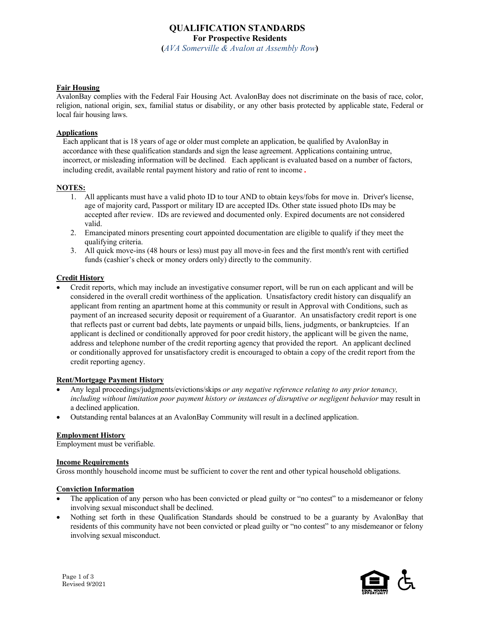# **QUALIFICATION STANDARDS For Prospective Residents**

**(***AVA Somerville & Avalon at Assembly Row***)**

### **Fair Housing**

AvalonBay complies with the Federal Fair Housing Act. AvalonBay does not discriminate on the basis of race, color, religion, national origin, sex, familial status or disability, or any other basis protected by applicable state, Federal or local fair housing laws.

## **Applications**

Each applicant that is 18 years of age or older must complete an application, be qualified by AvalonBay in accordance with these qualification standards and sign the lease agreement. Applications containing untrue, incorrect, or misleading information will be declined. Each applicant is evaluated based on a number of factors, including credit, available rental payment history and ratio of rent to income.

## **NOTES:**

- 1. All applicants must have a valid photo ID to tour AND to obtain keys/fobs for move in. Driver's license, age of majority card, Passport or military ID are accepted IDs. Other state issued photo IDs may be accepted after review. IDs are reviewed and documented only. Expired documents are not considered valid.
- 2. Emancipated minors presenting court appointed documentation are eligible to qualify if they meet the qualifying criteria.
- 3. All quick move-ins (48 hours or less) must pay all move-in fees and the first month's rent with certified funds (cashier's check or money orders only) directly to the community.

### **Credit History**

• Credit reports, which may include an investigative consumer report, will be run on each applicant and will be considered in the overall credit worthiness of the application. Unsatisfactory credit history can disqualify an applicant from renting an apartment home at this community or result in Approval with Conditions, such as payment of an increased security deposit or requirement of a Guarantor. An unsatisfactory credit report is one that reflects past or current bad debts, late payments or unpaid bills, liens, judgments, or bankruptcies. If an applicant is declined or conditionally approved for poor credit history, the applicant will be given the name, address and telephone number of the credit reporting agency that provided the report. An applicant declined or conditionally approved for unsatisfactory credit is encouraged to obtain a copy of the credit report from the credit reporting agency.

## **Rent/Mortgage Payment History**

- Any legal proceedings/judgments/evictions/skips *or any negative reference relating to any prior tenancy, including without limitation poor payment history or instances of disruptive or negligent behavior* may result in a declined application.
- Outstanding rental balances at an AvalonBay Community will result in a declined application.

#### **Employment History**

Employment must be verifiable.

#### **Income Requirements**

Gross monthly household income must be sufficient to cover the rent and other typical household obligations.

#### **Conviction Information**

- The application of any person who has been convicted or plead guilty or "no contest" to a misdemeanor or felony involving sexual misconduct shall be declined.
- Nothing set forth in these Qualification Standards should be construed to be a guaranty by AvalonBay that residents of this community have not been convicted or plead guilty or "no contest" to any misdemeanor or felony involving sexual misconduct.

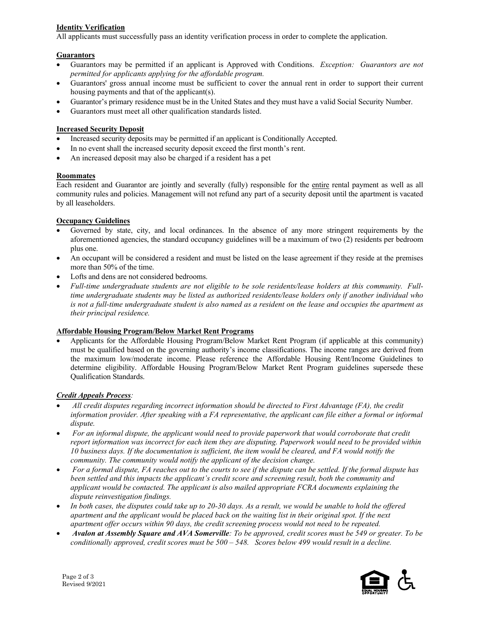# **Identity Verification**

All applicants must successfully pass an identity verification process in order to complete the application.

# **Guarantors**

- Guarantors may be permitted if an applicant is Approved with Conditions. *Exception: Guarantors are not permitted for applicants applying for the affordable program.*
- Guarantors' gross annual income must be sufficient to cover the annual rent in order to support their current housing payments and that of the applicant(s).
- Guarantor's primary residence must be in the United States and they must have a valid Social Security Number.
- Guarantors must meet all other qualification standards listed.

# **Increased Security Deposit**

- Increased security deposits may be permitted if an applicant is Conditionally Accepted.
- In no event shall the increased security deposit exceed the first month's rent.
- An increased deposit may also be charged if a resident has a pet

# **Roommates**

Each resident and Guarantor are jointly and severally (fully) responsible for the entire rental payment as well as all community rules and policies. Management will not refund any part of a security deposit until the apartment is vacated by all leaseholders.

# **Occupancy Guidelines**

- Governed by state, city, and local ordinances. In the absence of any more stringent requirements by the aforementioned agencies, the standard occupancy guidelines will be a maximum of two (2) residents per bedroom plus one.
- An occupant will be considered a resident and must be listed on the lease agreement if they reside at the premises more than 50% of the time.
- Lofts and dens are not considered bedrooms.
- *Full-time undergraduate students are not eligible to be sole residents/lease holders at this community. Fulltime undergraduate students may be listed as authorized residents/lease holders only if another individual who is not a full-time undergraduate student is also named as a resident on the lease and occupies the apartment as their principal residence.*

## **Affordable Housing Program/Below Market Rent Programs**

• Applicants for the Affordable Housing Program/Below Market Rent Program (if applicable at this community) must be qualified based on the governing authority's income classifications. The income ranges are derived from the maximum low/moderate income. Please reference the Affordable Housing Rent/Income Guidelines to determine eligibility. Affordable Housing Program/Below Market Rent Program guidelines supersede these Qualification Standards.

# *Credit Appeals Process:*

- *All credit disputes regarding incorrect information should be directed to First Advantage (FA), the credit information provider. After speaking with a FA representative, the applicant can file either a formal or informal dispute.*
- *For an informal dispute, the applicant would need to provide paperwork that would corroborate that credit report information was incorrect for each item they are disputing. Paperwork would need to be provided within 10 business days. If the documentation is sufficient, the item would be cleared, and FA would notify the community. The community would notify the applicant of the decision change.*
- *For a formal dispute, FA reaches out to the courts to see if the dispute can be settled. If the formal dispute has been settled and this impacts the applicant's credit score and screening result, both the community and applicant would be contacted. The applicant is also mailed appropriate FCRA documents explaining the dispute reinvestigation findings.*
- *In both cases, the disputes could take up to 20-30 days. As a result, we would be unable to hold the offered apartment and the applicant would be placed back on the waiting list in their original spot. If the next apartment offer occurs within 90 days, the credit screening process would not need to be repeated.*
- *Avalon at Assembly Square and AVA Somerville: To be approved, credit scores must be 549 or greater. To be conditionally approved, credit scores must be 500 – 548. Scores below 499 would result in a decline.*